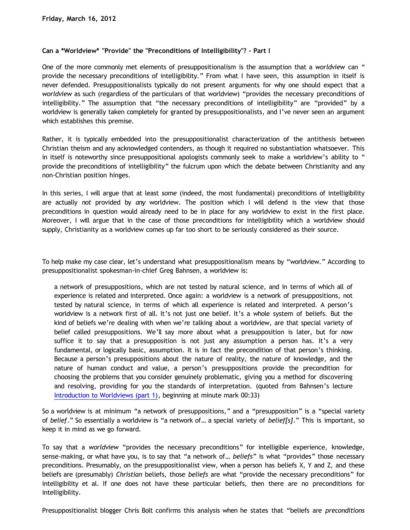## **Can a \*Worldview\* "Provide" the "Preconditions of Intelligibility"? - Part I**

One of the more commonly met elements of presuppositionalism is the assumption that a *worldview* can " provide the necessary preconditions of intelligibility." From what I have seen, this assumption in itself is never defended. Presuppositionalists typically do not present arguments for why one should expect that a *worldview* as such (regardless of the particulars of that worldview) "provides the necessary preconditions of intelligibility." The assumption that "the necessary preconditions of intelligibility" are "provided" by a worldview is generally taken completely for granted by presuppositionalists, and I've never seen an argument which establishes this premise.

Rather, it is typically embedded into the presuppositionalist characterization of the antithesis between Christian theism and any acknowledged contenders, as though it required no substantiation whatsoever. This in itself is noteworthy since presuppositional apologists commonly seek to make a worldview's ability to " provide the preconditions of intelligibility" the fulcrum upon which the debate between Christianity and any non-Christian position hinges.

In this series, I will argue that at least *some* (indeed, the most fundamental) preconditions of intelligibility are actually *not* provided by *any* worldview. The position which I will defend is the view that those preconditions in question would already need to be in place for any worldview to exist in the first place. Moreover, I will argue that in the case of those preconditions for intelligibility which a worldview should supply, Christianity as a worldview comes up far too short to be seriously considered as their source.

To help make my case clear, let's understand what presuppositionalism means by "worldview." According to presuppositionalist spokesman-in-chief Greg Bahnsen, a worldview is:

a network of presuppositions, which are not tested by natural science, and in terms of which all of experience is related and interpreted. Once again: a worldview is a network of presuppositions, not tested by natural science, in terms of which all experience is related and interpreted. A person's worldview is a network first of all. It's not just one belief. It's a whole system of beliefs. But the kind of beliefs we're dealing with when we're talking about a worldview, are that special variety of belief called presuppositions. We'll say more about what a presupposition is later, but for now suffice it to say that a presupposition is not just any assumption a person has. It's a very fundamental, or logically basic, assumption. It is in fact the precondition of that person's thinking. Because a person's presuppositions about the nature of reality, the nature of knowledge, and the nature of human conduct and value, a person's presuppositions provide the precondition for choosing the problems that you consider genuinely problematic, giving you a method for discovering and resolving, providing for you the standards of interpretation. (quoted from Bahnsen's lecture [Introduction to Worldviews \(part 1\)](http://www.youtube.com/watch?v=FDn4aIrvp_0), beginning at minute mark 00:33)

So a worldview is at minimum "a network of presuppositions," and a "presupposition" is a "special variety of *belief*." So essentially a worldview is "a network of… a special variety of *belief[s]*." This is important, so keep it in mind as we go forward.

To say that a *worldview* "provides the necessary preconditions" for intelligible experience, knowledge, sense-making, or what have you, is to say that "a network of… *beliefs*" is what "provides" those necessary preconditions. Presumably, on the presuppositionalist view, when a person has beliefs X, Y and Z, and these beliefs are (presumably) *Christian* beliefs, those *beliefs* are what "provide the necessary preconditions" for intelligibility et al. If one does not have these particular beliefs, then there are no preconditions for intelligibility.

Presuppositionalist blogger Chris Bolt confirms this analysis when he states that "beliefs are *preconditions*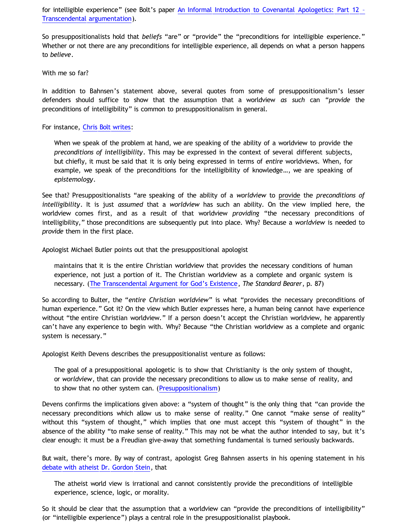for intelligible experience" (see Bolt's paper [An Informal Introduction to Covenantal Apologetics: Part 12](http://www.choosinghats.com/2011/01/an-informal-introduction-to-covenantal-apologetics-part-12-%E2%80%93-transcendental-argumentation/) [–](http://www.choosinghats.com/2011/01/an-informal-introduction-to-covenantal-apologetics-part-12-%E2%80%93-transcendental-argumentation/) [Transcendental argumentation](http://www.choosinghats.com/2011/01/an-informal-introduction-to-covenantal-apologetics-part-12-%E2%80%93-transcendental-argumentation/)).

So presuppositionalists hold that *beliefs* "are" or "provide" the "preconditions for intelligible experience." Whether or not there are any preconditions for intelligible experience, all depends on what a person happens to *believe*.

With me so far?

In addition to Bahnsen's statement above, several quotes from some of presuppositionalism's lesser defenders should suffice to show that the assumption that a worldview *as such* can "*provide* the preconditions of intelligibility" is common to presuppositionalism in general.

For instance, [Chris Bolt writes:](http://www.choosinghats.com/2011/10/why-shouldnt-paul-baird-choose-hats/)

When we speak of the problem at hand, we are speaking of the ability of a worldview to provide the *preconditions of intelligibility*. This may be expressed in the context of several different subjects, but chiefly, it must be said that it is only being expressed in terms of *entire* worldviews. When, for example, we speak of the preconditions for the intelligibility of knowledge…, we are speaking of *epistemology*.

See that? Presuppositionalists "are speaking of the ability of a *worldview* to provide the *preconditions of intelligibility*. It is just *assumed* that a *worldview* has such an ability. On the view implied here, the worldview comes first, and as a result of that worldview *providing* "the necessary preconditions of intelligibility," those preconditions are subsequently put into place. Why? Because a *worldview* is needed to *provide* them in the first place.

Apologist Michael Butler points out that the presuppositional apologist

maintains that it is the entire Christian worldview that provides the necessary conditions of human experience, not just a portion of it. The Christian worldview as a complete and organic system is necessary. ([The Transcendental Argument for God's Existence,](http://butler-harris.org/tag�) *The Standard Bearer*, p. 87)

So according to Bulter, the "*entire Christian worldview*" is what "provides the necessary preconditions of human experience." Got it? On the view which Butler expresses here, a human being cannot have experience without "the entire Christian worldview." If a person doesn't accept the Christian worldview, he apparently can't have any experience to begin with. Why? Because "the Christian worldview as a complete and organic system is necessary."

Apologist Keith Devens describes the presuppositionalist venture as follows:

The goal of a presuppositional apologetic is to show that Christianity is the only system of thought, or *worldview*, that can provide the necessary preconditions to allow us to make sense of reality, and to show that no other system can. ([Presuppositionalism\)](http://keithdevens.com/wiki/Presuppositionalism)

Devens confirms the implications given above: a "system of thought" is the only thing that "can provide the necessary preconditions which allow us to make sense of reality." One cannot "make sense of reality" without this "system of thought," which implies that one must accept this "system of thought" in the absence of the ability "to make sense of reality." This may not be what the author intended to say, but it's clear enough: it must be a Freudian give-away that something fundamental is turned seriously backwards.

But wait, there's more. By way of contrast, apologist Greg Bahnsen asserts in his opening statement in his [debate with atheist Dr. Gordon Stein](http://www.bellevuechristian.org/faculty/dribera/htdocs/PDFs/Apol_Bahnsen_Stein_Debate_Transcript.pdf), that

The atheist world view is irrational and cannot consistently provide the preconditions of intelligible experience, science, logic, or morality.

So it should be clear that the assumption that a worldview can "provide the preconditions of intelligibility" (or "intelligible experience") plays a central role in the presuppositionalist playbook.